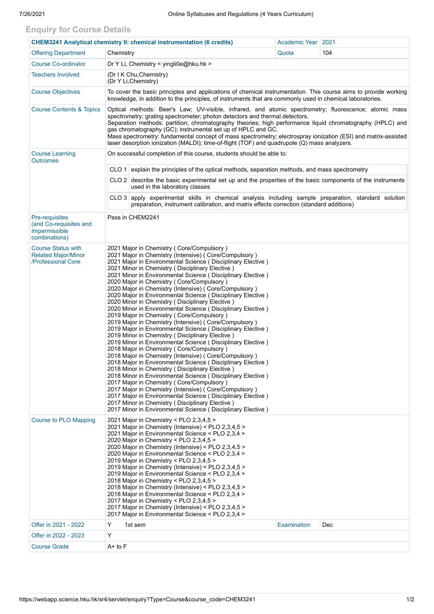## **Enquiry for Course Details**

| <b>CHEM3241 Analytical chemistry II: chemical instrumentation (6 credits)</b>     |                                                                                                                                                                                                                                                                                                                                                                                                                                                                                                                                                                                                                                                                                                                                                                                                                                                                                                                                                                                                                                                                                                                                                                                                                                                                                                                                                                                                                                                         | Academic Year | 2021               |     |  |  |  |  |  |
|-----------------------------------------------------------------------------------|---------------------------------------------------------------------------------------------------------------------------------------------------------------------------------------------------------------------------------------------------------------------------------------------------------------------------------------------------------------------------------------------------------------------------------------------------------------------------------------------------------------------------------------------------------------------------------------------------------------------------------------------------------------------------------------------------------------------------------------------------------------------------------------------------------------------------------------------------------------------------------------------------------------------------------------------------------------------------------------------------------------------------------------------------------------------------------------------------------------------------------------------------------------------------------------------------------------------------------------------------------------------------------------------------------------------------------------------------------------------------------------------------------------------------------------------------------|---------------|--------------------|-----|--|--|--|--|--|
| <b>Offering Department</b>                                                        | Chemistry                                                                                                                                                                                                                                                                                                                                                                                                                                                                                                                                                                                                                                                                                                                                                                                                                                                                                                                                                                                                                                                                                                                                                                                                                                                                                                                                                                                                                                               |               | Quota              | 104 |  |  |  |  |  |
| <b>Course Co-ordinator</b>                                                        | Dr Y Li, Chemistry < yingli0e@hku.hk >                                                                                                                                                                                                                                                                                                                                                                                                                                                                                                                                                                                                                                                                                                                                                                                                                                                                                                                                                                                                                                                                                                                                                                                                                                                                                                                                                                                                                  |               |                    |     |  |  |  |  |  |
| <b>Teachers Involved</b>                                                          | (Dr I K Chu, Chemistry)<br>(Dr Y Li, Chemistry)                                                                                                                                                                                                                                                                                                                                                                                                                                                                                                                                                                                                                                                                                                                                                                                                                                                                                                                                                                                                                                                                                                                                                                                                                                                                                                                                                                                                         |               |                    |     |  |  |  |  |  |
| <b>Course Objectives</b>                                                          | To cover the basic principles and applications of chemical instrumentation. This course aims to provide working<br>knowledge, in addition to the principles, of instruments that are commonly used in chemical laboratories.                                                                                                                                                                                                                                                                                                                                                                                                                                                                                                                                                                                                                                                                                                                                                                                                                                                                                                                                                                                                                                                                                                                                                                                                                            |               |                    |     |  |  |  |  |  |
| <b>Course Contents &amp; Topics</b>                                               | Optical methods: Beer's Law; UV-visible, infrared, and atomic spectrometry; fluorescence; atomic mass<br>spectrometry; grating spectrometer; photon detectors and thermal detectors.<br>Separation methods: partition; chromatography theories; high performance liquid chromatography (HPLC) and<br>gas chromatography (GC); instrumental set up of HPLC and GC.<br>Mass spectrometry: fundamental concept of mass spectrometry; electrospray ionization (ESI) and matrix-assisted<br>laser desorption ionization (MALDI); time-of-flight (TOF) and quadrupole (Q) mass analyzers.                                                                                                                                                                                                                                                                                                                                                                                                                                                                                                                                                                                                                                                                                                                                                                                                                                                                     |               |                    |     |  |  |  |  |  |
| <b>Course Learning</b><br><b>Outcomes</b>                                         | On successful completion of this course, students should be able to:                                                                                                                                                                                                                                                                                                                                                                                                                                                                                                                                                                                                                                                                                                                                                                                                                                                                                                                                                                                                                                                                                                                                                                                                                                                                                                                                                                                    |               |                    |     |  |  |  |  |  |
|                                                                                   | CLO 1<br>explain the principles of the optical methods, separation methods, and mass spectrometry                                                                                                                                                                                                                                                                                                                                                                                                                                                                                                                                                                                                                                                                                                                                                                                                                                                                                                                                                                                                                                                                                                                                                                                                                                                                                                                                                       |               |                    |     |  |  |  |  |  |
|                                                                                   | CLO 2 describe the basic experimental set up and the properties of the basic components of the instruments<br>used in the laboratory classes                                                                                                                                                                                                                                                                                                                                                                                                                                                                                                                                                                                                                                                                                                                                                                                                                                                                                                                                                                                                                                                                                                                                                                                                                                                                                                            |               |                    |     |  |  |  |  |  |
|                                                                                   | CLO 3 apply experimental skills in chemical analysis including sample preparation, standard solution<br>preparation, instrument calibration, and matrix effects correction (standard additions)                                                                                                                                                                                                                                                                                                                                                                                                                                                                                                                                                                                                                                                                                                                                                                                                                                                                                                                                                                                                                                                                                                                                                                                                                                                         |               |                    |     |  |  |  |  |  |
| <b>Pre-requisites</b><br>(and Co-requisites and<br>Impermissible<br>combinations) | Pass in CHEM2241                                                                                                                                                                                                                                                                                                                                                                                                                                                                                                                                                                                                                                                                                                                                                                                                                                                                                                                                                                                                                                                                                                                                                                                                                                                                                                                                                                                                                                        |               |                    |     |  |  |  |  |  |
| <b>Course Status with</b><br><b>Related Major/Minor</b><br>/Professional Core     | 2021 Major in Chemistry (Core/Compulsory)<br>2021 Major in Chemistry (Intensive) (Core/Compulsory)<br>2021 Major in Environmental Science (Disciplinary Elective)<br>2021 Minor in Chemistry (Disciplinary Elective)<br>2021 Minor in Environmental Science ( Disciplinary Elective )<br>2020 Major in Chemistry (Core/Compulsory)<br>2020 Major in Chemistry (Intensive) (Core/Compulsory)<br>2020 Major in Environmental Science (Disciplinary Elective)<br>2020 Minor in Chemistry (Disciplinary Elective)<br>2020 Minor in Environmental Science (Disciplinary Elective)<br>2019 Major in Chemistry (Core/Compulsory)<br>2019 Major in Chemistry (Intensive) (Core/Compulsory)<br>2019 Major in Environmental Science (Disciplinary Elective)<br>2019 Minor in Chemistry (Disciplinary Elective)<br>2019 Minor in Environmental Science (Disciplinary Elective)<br>2018 Major in Chemistry ( Core/Compulsory )<br>2018 Major in Chemistry (Intensive) ( Core/Compulsory )<br>2018 Major in Environmental Science (Disciplinary Elective)<br>2018 Minor in Chemistry (Disciplinary Elective)<br>2018 Minor in Environmental Science (Disciplinary Elective)<br>2017 Major in Chemistry ( Core/Compulsory )<br>2017 Major in Chemistry (Intensive) (Core/Compulsory)<br>2017 Major in Environmental Science (Disciplinary Elective)<br>2017 Minor in Chemistry (Disciplinary Elective)<br>2017 Minor in Environmental Science (Disciplinary Elective) |               |                    |     |  |  |  |  |  |
| <b>Course to PLO Mapping</b>                                                      | 2021 Major in Chemistry < PLO $2,3,4,5$ ><br>2021 Major in Chemistry (Intensive) < PLO 2,3,4,5 ><br>2021 Major in Environmental Science < PLO 2,3,4 ><br>2020 Major in Chemistry < PLO 2,3,4,5 ><br>2020 Major in Chemistry (Intensive) < PLO 2,3,4,5 ><br>2020 Major in Environmental Science < PLO 2,3,4 ><br>2019 Major in Chemistry < PLO 2,3,4,5 ><br>2019 Major in Chemistry (Intensive) < PLO $2,3,4,5$ ><br>2019 Major in Environmental Science < PLO 2,3,4 ><br>2018 Major in Chemistry < PLO 2,3,4,5 ><br>2018 Major in Chemistry (Intensive) < PLO $2,3,4,5$ ><br>2018 Major in Environmental Science < PLO 2,3,4 ><br>2017 Major in Chemistry < PLO 2,3,4,5 ><br>2017 Major in Chemistry (Intensive) < PLO 2,3,4,5 ><br>2017 Major in Environmental Science < PLO 2,3,4 >                                                                                                                                                                                                                                                                                                                                                                                                                                                                                                                                                                                                                                                                   |               |                    |     |  |  |  |  |  |
| Offer in 2021 - 2022                                                              | Y                                                                                                                                                                                                                                                                                                                                                                                                                                                                                                                                                                                                                                                                                                                                                                                                                                                                                                                                                                                                                                                                                                                                                                                                                                                                                                                                                                                                                                                       | 1st sem       | Examination<br>Dec |     |  |  |  |  |  |
| Offer in 2022 - 2023                                                              | Y                                                                                                                                                                                                                                                                                                                                                                                                                                                                                                                                                                                                                                                                                                                                                                                                                                                                                                                                                                                                                                                                                                                                                                                                                                                                                                                                                                                                                                                       |               |                    |     |  |  |  |  |  |
| <b>Course Grade</b>                                                               | A+ to F                                                                                                                                                                                                                                                                                                                                                                                                                                                                                                                                                                                                                                                                                                                                                                                                                                                                                                                                                                                                                                                                                                                                                                                                                                                                                                                                                                                                                                                 |               |                    |     |  |  |  |  |  |